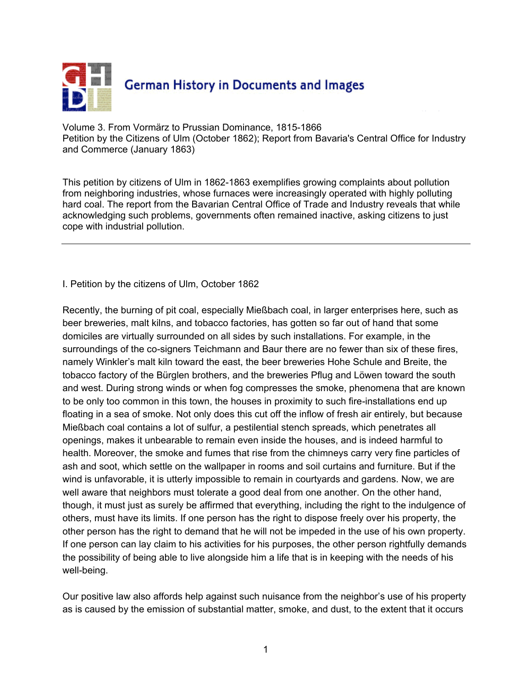

Volume 3. From Vormärz to Prussian Dominance, 1815-1866 Petition by the Citizens of Ulm (October 1862); Report from Bavaria's Central Office for Industry and Commerce (January 1863)

This petition by citizens of Ulm in 1862-1863 exemplifies growing complaints about pollution from neighboring industries, whose furnaces were increasingly operated with highly polluting hard coal. The report from the Bavarian Central Office of Trade and Industry reveals that while acknowledging such problems, governments often remained inactive, asking citizens to just cope with industrial pollution.

I. Petition by the citizens of Ulm, October 1862

Recently, the burning of pit coal, especially Mießbach coal, in larger enterprises here, such as beer breweries, malt kilns, and tobacco factories, has gotten so far out of hand that some domiciles are virtually surrounded on all sides by such installations. For example, in the surroundings of the co-signers Teichmann and Baur there are no fewer than six of these fires, namely Winkler's malt kiln toward the east, the beer breweries Hohe Schule and Breite, the tobacco factory of the Bürglen brothers, and the breweries Pflug and Löwen toward the south and west. During strong winds or when fog compresses the smoke, phenomena that are known to be only too common in this town, the houses in proximity to such fire-installations end up floating in a sea of smoke. Not only does this cut off the inflow of fresh air entirely, but because Mießbach coal contains a lot of sulfur, a pestilential stench spreads, which penetrates all openings, makes it unbearable to remain even inside the houses, and is indeed harmful to health. Moreover, the smoke and fumes that rise from the chimneys carry very fine particles of ash and soot, which settle on the wallpaper in rooms and soil curtains and furniture. But if the wind is unfavorable, it is utterly impossible to remain in courtyards and gardens. Now, we are well aware that neighbors must tolerate a good deal from one another. On the other hand, though, it must just as surely be affirmed that everything, including the right to the indulgence of others, must have its limits. If one person has the right to dispose freely over his property, the other person has the right to demand that he will not be impeded in the use of his own property. If one person can lay claim to his activities for his purposes, the other person rightfully demands the possibility of being able to live alongside him a life that is in keeping with the needs of his well-being.

Our positive law also affords help against such nuisance from the neighbor's use of his property as is caused by the emission of substantial matter, smoke, and dust, to the extent that it occurs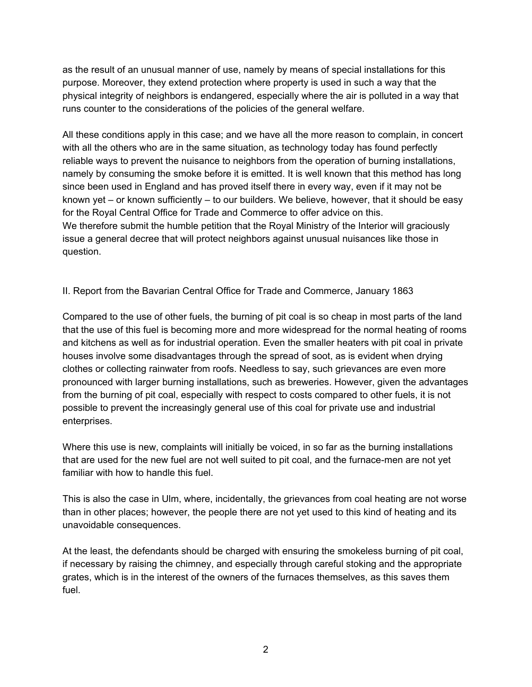as the result of an unusual manner of use, namely by means of special installations for this purpose. Moreover, they extend protection where property is used in such a way that the physical integrity of neighbors is endangered, especially where the air is polluted in a way that runs counter to the considerations of the policies of the general welfare.

All these conditions apply in this case; and we have all the more reason to complain, in concert with all the others who are in the same situation, as technology today has found perfectly reliable ways to prevent the nuisance to neighbors from the operation of burning installations, namely by consuming the smoke before it is emitted. It is well known that this method has long since been used in England and has proved itself there in every way, even if it may not be known yet – or known sufficiently – to our builders. We believe, however, that it should be easy for the Royal Central Office for Trade and Commerce to offer advice on this. We therefore submit the humble petition that the Royal Ministry of the Interior will graciously issue a general decree that will protect neighbors against unusual nuisances like those in question.

II. Report from the Bavarian Central Office for Trade and Commerce, January 1863

Compared to the use of other fuels, the burning of pit coal is so cheap in most parts of the land that the use of this fuel is becoming more and more widespread for the normal heating of rooms and kitchens as well as for industrial operation. Even the smaller heaters with pit coal in private houses involve some disadvantages through the spread of soot, as is evident when drying clothes or collecting rainwater from roofs. Needless to say, such grievances are even more pronounced with larger burning installations, such as breweries. However, given the advantages from the burning of pit coal, especially with respect to costs compared to other fuels, it is not possible to prevent the increasingly general use of this coal for private use and industrial enterprises.

Where this use is new, complaints will initially be voiced, in so far as the burning installations that are used for the new fuel are not well suited to pit coal, and the furnace-men are not yet familiar with how to handle this fuel.

This is also the case in Ulm, where, incidentally, the grievances from coal heating are not worse than in other places; however, the people there are not yet used to this kind of heating and its unavoidable consequences.

At the least, the defendants should be charged with ensuring the smokeless burning of pit coal, if necessary by raising the chimney, and especially through careful stoking and the appropriate grates, which is in the interest of the owners of the furnaces themselves, as this saves them fuel.